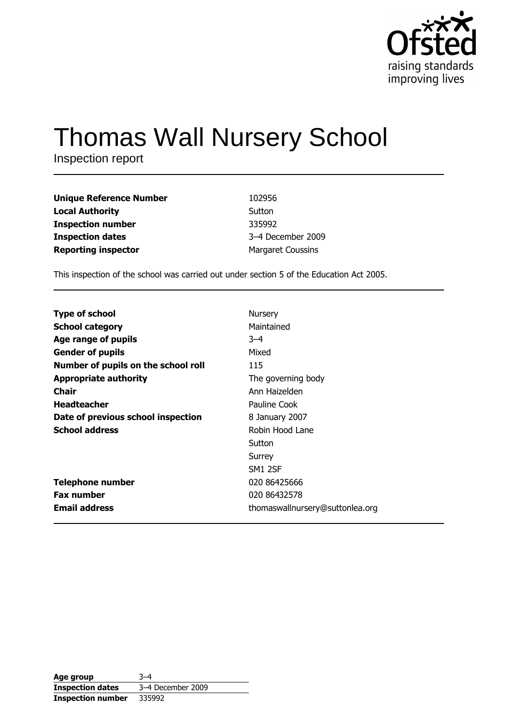

# **Thomas Wall Nursery School**

Inspection report

| <b>Unique Reference Number</b> | 102956                   |
|--------------------------------|--------------------------|
| <b>Local Authority</b>         | Sutton                   |
| <b>Inspection number</b>       | 335992                   |
| <b>Inspection dates</b>        | 3-4 December 2009        |
| <b>Reporting inspector</b>     | <b>Margaret Coussins</b> |

This inspection of the school was carried out under section 5 of the Education Act 2005.

| <b>Type of school</b>               | Nursery                         |
|-------------------------------------|---------------------------------|
| <b>School category</b>              | Maintained                      |
| Age range of pupils                 | $3 - 4$                         |
| <b>Gender of pupils</b>             | Mixed                           |
| Number of pupils on the school roll | 115                             |
| <b>Appropriate authority</b>        | The governing body              |
| Chair                               | Ann Haizelden                   |
| <b>Headteacher</b>                  | Pauline Cook                    |
| Date of previous school inspection  | 8 January 2007                  |
| <b>School address</b>               | Robin Hood Lane                 |
|                                     | Sutton                          |
|                                     | Surrey                          |
|                                     | SM1 2SF                         |
| <b>Telephone number</b>             | 020 86425666                    |
| <b>Fax number</b>                   | 020 86432578                    |
| <b>Email address</b>                | thomaswallnursery@suttonlea.org |

| Age group                | $3 - 4$           |
|--------------------------|-------------------|
| <b>Inspection dates</b>  | 3-4 December 2009 |
| <b>Inspection number</b> | 335992            |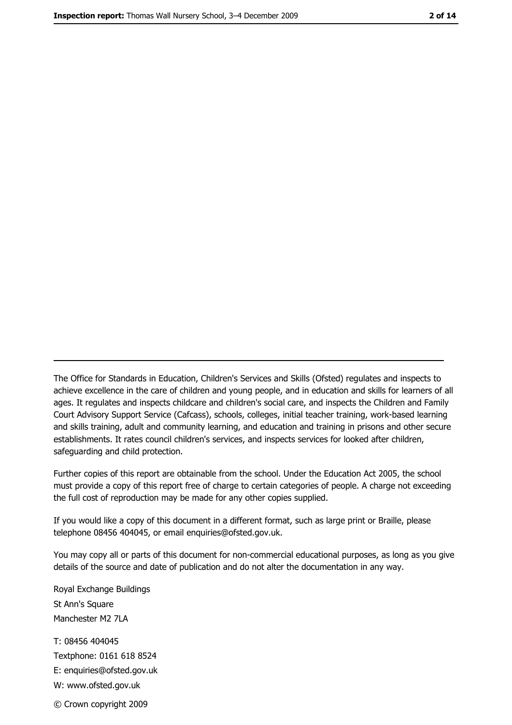The Office for Standards in Education, Children's Services and Skills (Ofsted) regulates and inspects to achieve excellence in the care of children and young people, and in education and skills for learners of all ages. It regulates and inspects childcare and children's social care, and inspects the Children and Family Court Advisory Support Service (Cafcass), schools, colleges, initial teacher training, work-based learning and skills training, adult and community learning, and education and training in prisons and other secure establishments. It rates council children's services, and inspects services for looked after children, safequarding and child protection.

Further copies of this report are obtainable from the school. Under the Education Act 2005, the school must provide a copy of this report free of charge to certain categories of people. A charge not exceeding the full cost of reproduction may be made for any other copies supplied.

If you would like a copy of this document in a different format, such as large print or Braille, please telephone 08456 404045, or email enquiries@ofsted.gov.uk.

You may copy all or parts of this document for non-commercial educational purposes, as long as you give details of the source and date of publication and do not alter the documentation in any way.

Royal Exchange Buildings St Ann's Square Manchester M2 7LA T: 08456 404045 Textphone: 0161 618 8524 E: enquiries@ofsted.gov.uk W: www.ofsted.gov.uk © Crown copyright 2009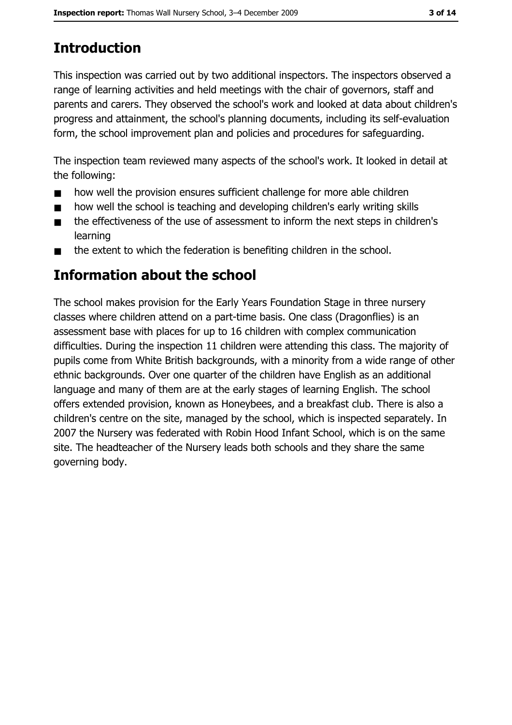# **Introduction**

This inspection was carried out by two additional inspectors. The inspectors observed a range of learning activities and held meetings with the chair of governors, staff and parents and carers. They observed the school's work and looked at data about children's progress and attainment, the school's planning documents, including its self-evaluation form, the school improvement plan and policies and procedures for safeguarding.

The inspection team reviewed many aspects of the school's work. It looked in detail at the following:

- how well the provision ensures sufficient challenge for more able children  $\blacksquare$
- how well the school is teaching and developing children's early writing skills  $\blacksquare$
- the effectiveness of the use of assessment to inform the next steps in children's  $\blacksquare$ learning
- the extent to which the federation is benefiting children in the school.  $\blacksquare$

# Information about the school

The school makes provision for the Early Years Foundation Stage in three nursery classes where children attend on a part-time basis. One class (Dragonflies) is an assessment base with places for up to 16 children with complex communication difficulties. During the inspection 11 children were attending this class. The majority of pupils come from White British backgrounds, with a minority from a wide range of other ethnic backgrounds. Over one quarter of the children have English as an additional language and many of them are at the early stages of learning English. The school offers extended provision, known as Honeybees, and a breakfast club. There is also a children's centre on the site, managed by the school, which is inspected separately. In 2007 the Nursery was federated with Robin Hood Infant School, which is on the same site. The headteacher of the Nursery leads both schools and they share the same governing body.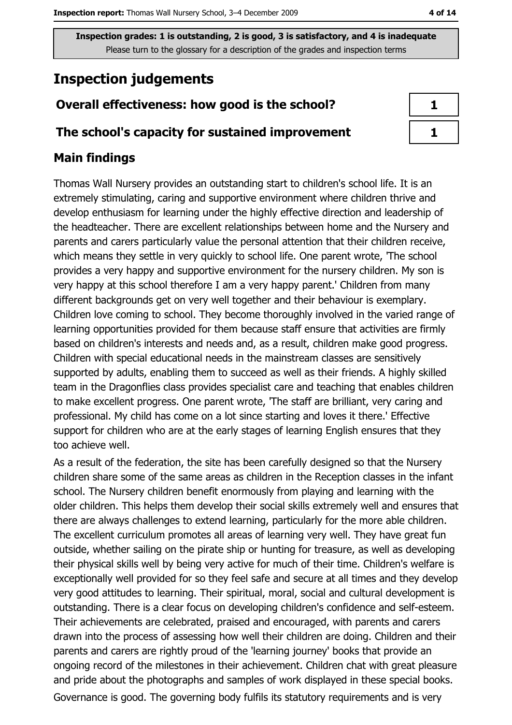# **Inspection judgements**

### Overall effectiveness: how good is the school?

#### The school's capacity for sustained improvement

#### **Main findings**

Thomas Wall Nursery provides an outstanding start to children's school life. It is an extremely stimulating, caring and supportive environment where children thrive and develop enthusiasm for learning under the highly effective direction and leadership of the headteacher. There are excellent relationships between home and the Nursery and parents and carers particularly value the personal attention that their children receive, which means they settle in very quickly to school life. One parent wrote, The school provides a very happy and supportive environment for the nursery children. My son is very happy at this school therefore I am a very happy parent.' Children from many different backgrounds get on very well together and their behaviour is exemplary. Children love coming to school. They become thoroughly involved in the varied range of learning opportunities provided for them because staff ensure that activities are firmly based on children's interests and needs and, as a result, children make good progress. Children with special educational needs in the mainstream classes are sensitively supported by adults, enabling them to succeed as well as their friends. A highly skilled team in the Dragonflies class provides specialist care and teaching that enables children to make excellent progress. One parent wrote, The staff are brilliant, very caring and professional. My child has come on a lot since starting and loves it there.' Effective support for children who are at the early stages of learning English ensures that they too achieve well.

As a result of the federation, the site has been carefully designed so that the Nursery children share some of the same areas as children in the Reception classes in the infant school. The Nursery children benefit enormously from playing and learning with the older children. This helps them develop their social skills extremely well and ensures that there are always challenges to extend learning, particularly for the more able children. The excellent curriculum promotes all areas of learning very well. They have great fun outside, whether sailing on the pirate ship or hunting for treasure, as well as developing their physical skills well by being very active for much of their time. Children's welfare is exceptionally well provided for so they feel safe and secure at all times and they develop very good attitudes to learning. Their spiritual, moral, social and cultural development is outstanding. There is a clear focus on developing children's confidence and self-esteem. Their achievements are celebrated, praised and encouraged, with parents and carers drawn into the process of assessing how well their children are doing. Children and their parents and carers are rightly proud of the 'learning journey' books that provide an ongoing record of the milestones in their achievement. Children chat with great pleasure and pride about the photographs and samples of work displayed in these special books. Governance is good. The governing body fulfils its statutory requirements and is very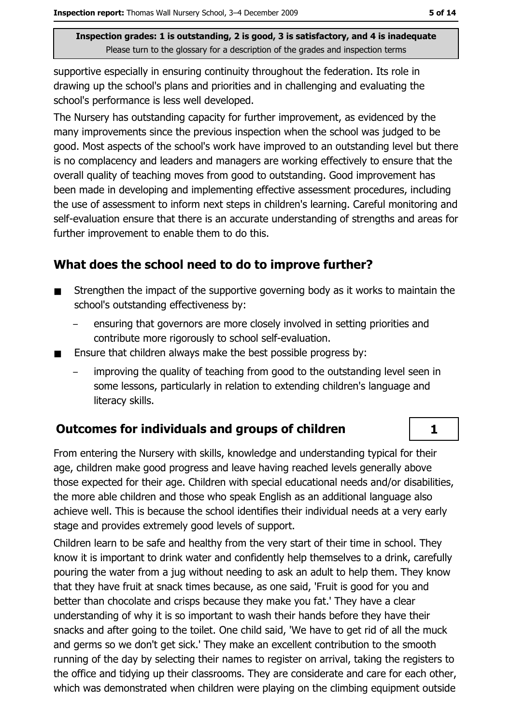supportive especially in ensuring continuity throughout the federation. Its role in drawing up the school's plans and priorities and in challenging and evaluating the school's performance is less well developed.

The Nursery has outstanding capacity for further improvement, as evidenced by the many improvements since the previous inspection when the school was judged to be good. Most aspects of the school's work have improved to an outstanding level but there is no complacency and leaders and managers are working effectively to ensure that the overall quality of teaching moves from good to outstanding. Good improvement has been made in developing and implementing effective assessment procedures, including the use of assessment to inform next steps in children's learning. Careful monitoring and self-evaluation ensure that there is an accurate understanding of strengths and areas for further improvement to enable them to do this.

#### What does the school need to do to improve further?

- Strengthen the impact of the supportive governing body as it works to maintain the  $\blacksquare$ school's outstanding effectiveness by:
	- ensuring that governors are more closely involved in setting priorities and contribute more rigorously to school self-evaluation.
- Ensure that children always make the best possible progress by:  $\blacksquare$ 
	- improving the quality of teaching from good to the outstanding level seen in some lessons, particularly in relation to extending children's language and literacy skills.

#### **Outcomes for individuals and groups of children**

From entering the Nursery with skills, knowledge and understanding typical for their age, children make good progress and leave having reached levels generally above those expected for their age. Children with special educational needs and/or disabilities, the more able children and those who speak English as an additional language also achieve well. This is because the school identifies their individual needs at a very early stage and provides extremely good levels of support.

Children learn to be safe and healthy from the very start of their time in school. They know it is important to drink water and confidently help themselves to a drink, carefully pouring the water from a jug without needing to ask an adult to help them. They know that they have fruit at snack times because, as one said, 'Fruit is good for you and better than chocolate and crisps because they make you fat.' They have a clear understanding of why it is so important to wash their hands before they have their snacks and after going to the toilet. One child said, 'We have to get rid of all the muck and germs so we don't get sick.' They make an excellent contribution to the smooth running of the day by selecting their names to register on arrival, taking the registers to the office and tidving up their classrooms. They are considerate and care for each other, which was demonstrated when children were playing on the climbing equipment outside

 $\mathbf{1}$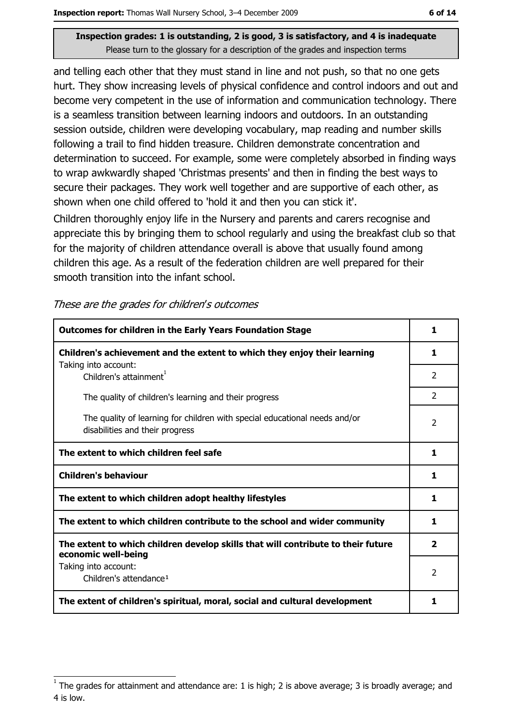and telling each other that they must stand in line and not push, so that no one gets hurt. They show increasing levels of physical confidence and control indoors and out and become very competent in the use of information and communication technology. There is a seamless transition between learning indoors and outdoors. In an outstanding session outside, children were developing vocabulary, map reading and number skills following a trail to find hidden treasure. Children demonstrate concentration and determination to succeed. For example, some were completely absorbed in finding ways to wrap awkwardly shaped 'Christmas presents' and then in finding the best ways to secure their packages. They work well together and are supportive of each other, as shown when one child offered to 'hold it and then you can stick it'.

Children thoroughly enjoy life in the Nursery and parents and carers recognise and appreciate this by bringing them to school regularly and using the breakfast club so that for the majority of children attendance overall is above that usually found among children this age. As a result of the federation children are well prepared for their smooth transition into the infant school.

| <b>Outcomes for children in the Early Years Foundation Stage</b>                                              | 1              |
|---------------------------------------------------------------------------------------------------------------|----------------|
| Children's achievement and the extent to which they enjoy their learning                                      | 1              |
| Taking into account:<br>Children's attainment <sup>1</sup>                                                    | 2              |
| The quality of children's learning and their progress                                                         | $\mathcal{P}$  |
| The quality of learning for children with special educational needs and/or<br>disabilities and their progress | $\mathcal{P}$  |
| The extent to which children feel safe                                                                        |                |
| <b>Children's behaviour</b>                                                                                   | 1              |
| The extent to which children adopt healthy lifestyles                                                         | 1              |
| The extent to which children contribute to the school and wider community                                     | 1              |
| The extent to which children develop skills that will contribute to their future<br>economic well-being       | 2              |
| Taking into account:<br>Children's attendance <sup>1</sup>                                                    | $\overline{2}$ |
| The extent of children's spiritual, moral, social and cultural development                                    | 1              |

These are the grades for children's outcomes

The grades for attainment and attendance are: 1 is high; 2 is above average; 3 is broadly average; and 4 is low.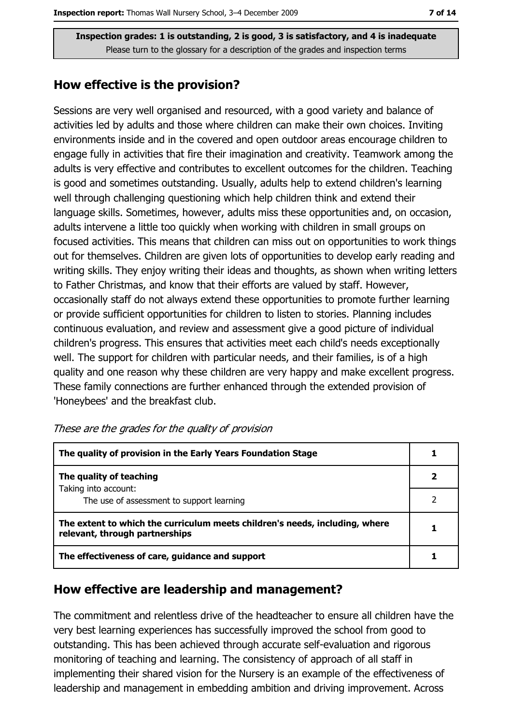#### How effective is the provision?

Sessions are very well organised and resourced, with a good variety and balance of activities led by adults and those where children can make their own choices. Inviting environments inside and in the covered and open outdoor areas encourage children to engage fully in activities that fire their imagination and creativity. Teamwork among the adults is very effective and contributes to excellent outcomes for the children. Teaching is good and sometimes outstanding. Usually, adults help to extend children's learning well through challenging questioning which help children think and extend their language skills. Sometimes, however, adults miss these opportunities and, on occasion, adults intervene a little too quickly when working with children in small groups on focused activities. This means that children can miss out on opportunities to work things out for themselves. Children are given lots of opportunities to develop early reading and writing skills. They enjoy writing their ideas and thoughts, as shown when writing letters to Father Christmas, and know that their efforts are valued by staff. However, occasionally staff do not always extend these opportunities to promote further learning or provide sufficient opportunities for children to listen to stories. Planning includes continuous evaluation, and review and assessment give a good picture of individual children's progress. This ensures that activities meet each child's needs exceptionally well. The support for children with particular needs, and their families, is of a high quality and one reason why these children are very happy and make excellent progress. These family connections are further enhanced through the extended provision of 'Honeybees' and the breakfast club.

| The quality of provision in the Early Years Foundation Stage                                                  |  |  |
|---------------------------------------------------------------------------------------------------------------|--|--|
| The quality of teaching                                                                                       |  |  |
| Taking into account:<br>The use of assessment to support learning                                             |  |  |
| The extent to which the curriculum meets children's needs, including, where<br>relevant, through partnerships |  |  |
| The effectiveness of care, guidance and support                                                               |  |  |

| These are the grades for the quality of provision |  |  |  |  |  |  |  |  |  |  |  |
|---------------------------------------------------|--|--|--|--|--|--|--|--|--|--|--|
|---------------------------------------------------|--|--|--|--|--|--|--|--|--|--|--|

#### How effective are leadership and management?

The commitment and relentless drive of the headteacher to ensure all children have the very best learning experiences has successfully improved the school from good to outstanding. This has been achieved through accurate self-evaluation and rigorous monitoring of teaching and learning. The consistency of approach of all staff in implementing their shared vision for the Nursery is an example of the effectiveness of leadership and management in embedding ambition and driving improvement. Across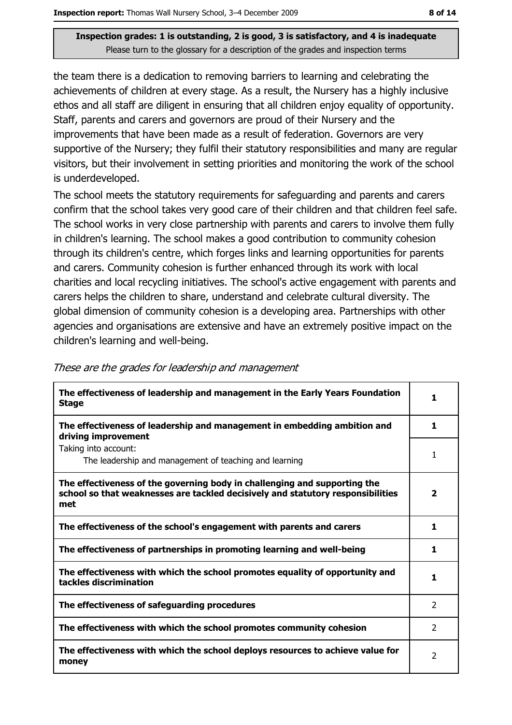the team there is a dedication to removing barriers to learning and celebrating the achievements of children at every stage. As a result, the Nursery has a highly inclusive ethos and all staff are diligent in ensuring that all children enjoy equality of opportunity. Staff, parents and carers and governors are proud of their Nursery and the improvements that have been made as a result of federation. Governors are very supportive of the Nursery; they fulfil their statutory responsibilities and many are regular visitors, but their involvement in setting priorities and monitoring the work of the school is underdeveloped.

The school meets the statutory requirements for safeguarding and parents and carers confirm that the school takes very good care of their children and that children feel safe. The school works in very close partnership with parents and carers to involve them fully in children's learning. The school makes a good contribution to community cohesion through its children's centre, which forges links and learning opportunities for parents and carers. Community cohesion is further enhanced through its work with local charities and local recycling initiatives. The school's active engagement with parents and carers helps the children to share, understand and celebrate cultural diversity. The global dimension of community cohesion is a developing area. Partnerships with other agencies and organisations are extensive and have an extremely positive impact on the children's learning and well-being.

| The effectiveness of leadership and management in the Early Years Foundation<br><b>Stage</b>                                                                        | 1              |
|---------------------------------------------------------------------------------------------------------------------------------------------------------------------|----------------|
| The effectiveness of leadership and management in embedding ambition and<br>driving improvement                                                                     | 1              |
| Taking into account:<br>The leadership and management of teaching and learning                                                                                      | 1              |
| The effectiveness of the governing body in challenging and supporting the<br>school so that weaknesses are tackled decisively and statutory responsibilities<br>met | 2              |
| The effectiveness of the school's engagement with parents and carers                                                                                                | 1              |
| The effectiveness of partnerships in promoting learning and well-being                                                                                              | 1              |
| The effectiveness with which the school promotes equality of opportunity and<br>tackles discrimination                                                              | 1              |
| The effectiveness of safeguarding procedures                                                                                                                        | 2              |
| The effectiveness with which the school promotes community cohesion                                                                                                 | $\mathcal{L}$  |
| The effectiveness with which the school deploys resources to achieve value for<br>money                                                                             | $\overline{2}$ |

These are the grades for leadership and management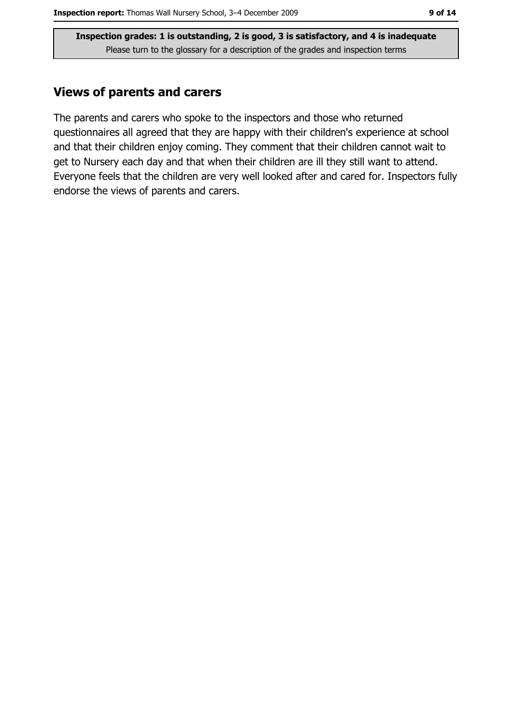#### **Views of parents and carers**

The parents and carers who spoke to the inspectors and those who returned questionnaires all agreed that they are happy with their children's experience at school and that their children enjoy coming. They comment that their children cannot wait to get to Nursery each day and that when their children are ill they still want to attend. Everyone feels that the children are very well looked after and cared for. Inspectors fully endorse the views of parents and carers.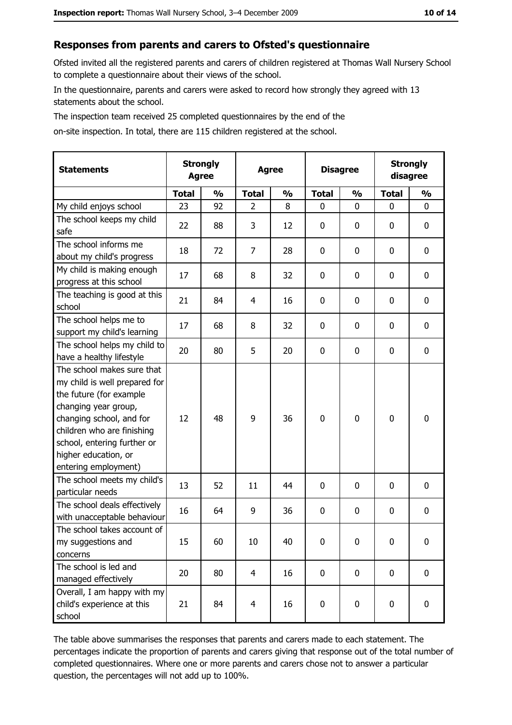#### Responses from parents and carers to Ofsted's questionnaire

Ofsted invited all the registered parents and carers of children registered at Thomas Wall Nursery School to complete a questionnaire about their views of the school.

In the questionnaire, parents and carers were asked to record how strongly they agreed with 13 statements about the school.

The inspection team received 25 completed questionnaires by the end of the

on-site inspection. In total, there are 115 children registered at the school.

| <b>Statements</b>                                                                                                                                                                                                                                       | <b>Strongly</b><br><b>Agree</b> |               |                | <b>Agree</b>  |              | <b>Disagree</b> |              | <b>Strongly</b><br>disagree |  |
|---------------------------------------------------------------------------------------------------------------------------------------------------------------------------------------------------------------------------------------------------------|---------------------------------|---------------|----------------|---------------|--------------|-----------------|--------------|-----------------------------|--|
|                                                                                                                                                                                                                                                         | <b>Total</b>                    | $\frac{0}{0}$ | <b>Total</b>   | $\frac{0}{0}$ | <b>Total</b> | $\frac{0}{0}$   | <b>Total</b> | $\frac{0}{0}$               |  |
| My child enjoys school                                                                                                                                                                                                                                  | 23                              | 92            | $\overline{2}$ | 8             | 0            | 0               | 0            | $\mathbf 0$                 |  |
| The school keeps my child<br>safe                                                                                                                                                                                                                       | 22                              | 88            | 3              | 12            | 0            | 0               | 0            | 0                           |  |
| The school informs me<br>about my child's progress                                                                                                                                                                                                      | 18                              | 72            | $\overline{7}$ | 28            | 0            | 0               | 0            | $\mathbf 0$                 |  |
| My child is making enough<br>progress at this school                                                                                                                                                                                                    | 17                              | 68            | 8              | 32            | 0            | 0               | 0            | $\mathbf 0$                 |  |
| The teaching is good at this<br>school                                                                                                                                                                                                                  | 21                              | 84            | 4              | 16            | 0            | 0               | 0            | $\mathbf 0$                 |  |
| The school helps me to<br>support my child's learning                                                                                                                                                                                                   | 17                              | 68            | 8              | 32            | 0            | 0               | 0            | $\mathbf 0$                 |  |
| The school helps my child to<br>have a healthy lifestyle                                                                                                                                                                                                | 20                              | 80            | 5              | 20            | 0            | 0               | 0            | 0                           |  |
| The school makes sure that<br>my child is well prepared for<br>the future (for example<br>changing year group,<br>changing school, and for<br>children who are finishing<br>school, entering further or<br>higher education, or<br>entering employment) | 12                              | 48            | 9              | 36            | $\mathbf 0$  | 0               | 0            | $\mathbf 0$                 |  |
| The school meets my child's<br>particular needs                                                                                                                                                                                                         | 13                              | 52            | 11             | 44            | 0            | 0               | 0            | $\mathbf 0$                 |  |
| The school deals effectively<br>with unacceptable behaviour                                                                                                                                                                                             | 16                              | 64            | 9              | 36            | 0            | 0               | 0            | 0                           |  |
| The school takes account of<br>my suggestions and<br>concerns                                                                                                                                                                                           | 15                              | 60            | 10             | 40            | $\mathbf 0$  | 0               | 0            | $\mathbf 0$                 |  |
| The school is led and<br>managed effectively                                                                                                                                                                                                            | 20                              | 80            | $\overline{4}$ | 16            | 0            | 0               | $\mathbf 0$  | $\mathbf 0$                 |  |
| Overall, I am happy with my<br>child's experience at this<br>school                                                                                                                                                                                     | 21                              | 84            | $\overline{4}$ | 16            | $\pmb{0}$    | 0               | 0            | $\mathbf 0$                 |  |

The table above summarises the responses that parents and carers made to each statement. The percentages indicate the proportion of parents and carers giving that response out of the total number of completed questionnaires. Where one or more parents and carers chose not to answer a particular question, the percentages will not add up to 100%.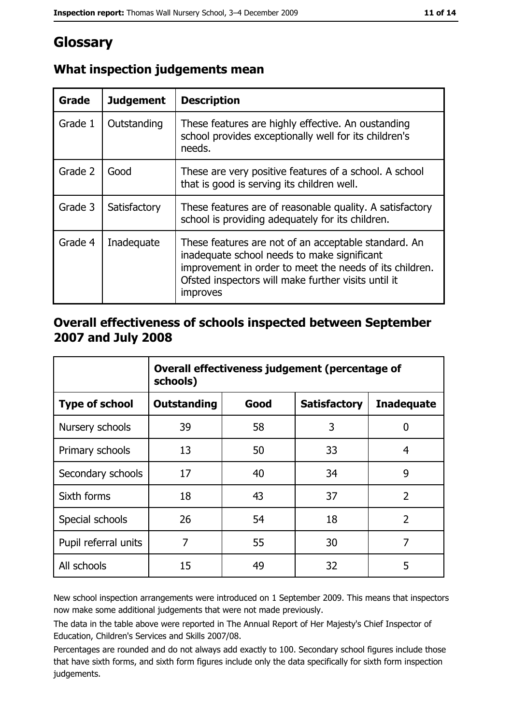# Glossary

| Grade   | <b>Judgement</b> | <b>Description</b>                                                                                                                                                                                                                |
|---------|------------------|-----------------------------------------------------------------------------------------------------------------------------------------------------------------------------------------------------------------------------------|
| Grade 1 | Outstanding      | These features are highly effective. An oustanding<br>school provides exceptionally well for its children's<br>needs.                                                                                                             |
| Grade 2 | Good             | These are very positive features of a school. A school<br>that is good is serving its children well.                                                                                                                              |
| Grade 3 | Satisfactory     | These features are of reasonable quality. A satisfactory<br>school is providing adequately for its children.                                                                                                                      |
| Grade 4 | Inadequate       | These features are not of an acceptable standard. An<br>inadequate school needs to make significant<br>improvement in order to meet the needs of its children.<br>Ofsted inspectors will make further visits until it<br>improves |

## What inspection judgements mean

#### Overall effectiveness of schools inspected between September 2007 and July 2008

|                       | Overall effectiveness judgement (percentage of<br>schools) |      |                     |                   |  |
|-----------------------|------------------------------------------------------------|------|---------------------|-------------------|--|
| <b>Type of school</b> | <b>Outstanding</b>                                         | Good | <b>Satisfactory</b> | <b>Inadequate</b> |  |
| Nursery schools       | 39                                                         | 58   | 3                   | 0                 |  |
| Primary schools       | 13                                                         | 50   | 33                  | 4                 |  |
| Secondary schools     | 17                                                         | 40   | 34                  | 9                 |  |
| Sixth forms           | 18                                                         | 43   | 37                  | $\overline{2}$    |  |
| Special schools       | 26                                                         | 54   | 18                  | $\overline{2}$    |  |
| Pupil referral units  | 7                                                          | 55   | 30                  | 7                 |  |
| All schools           | 15                                                         | 49   | 32                  | 5                 |  |

New school inspection arrangements were introduced on 1 September 2009. This means that inspectors now make some additional judgements that were not made previously.

The data in the table above were reported in The Annual Report of Her Majesty's Chief Inspector of Education, Children's Services and Skills 2007/08.

Percentages are rounded and do not always add exactly to 100. Secondary school figures include those that have sixth forms, and sixth form figures include only the data specifically for sixth form inspection judgements.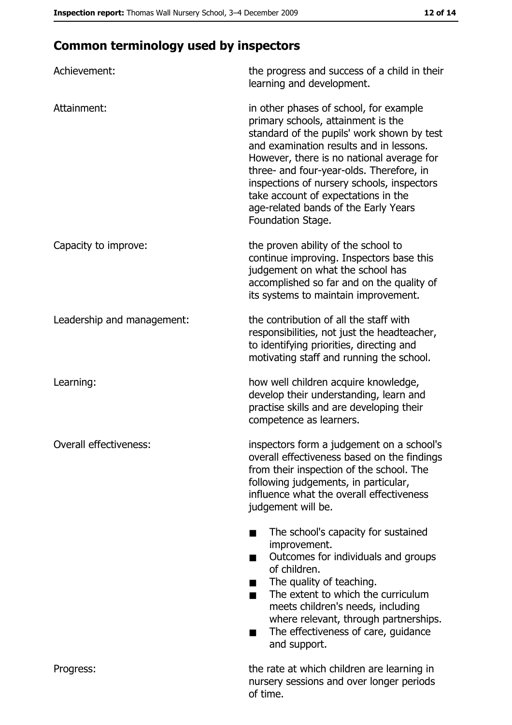# **Common terminology used by inspectors**

| Achievement:                  | the progress and success of a child in their<br>learning and development.                                                                                                                                                                                                                                                                                                                                        |
|-------------------------------|------------------------------------------------------------------------------------------------------------------------------------------------------------------------------------------------------------------------------------------------------------------------------------------------------------------------------------------------------------------------------------------------------------------|
| Attainment:                   | in other phases of school, for example<br>primary schools, attainment is the<br>standard of the pupils' work shown by test<br>and examination results and in lessons.<br>However, there is no national average for<br>three- and four-year-olds. Therefore, in<br>inspections of nursery schools, inspectors<br>take account of expectations in the<br>age-related bands of the Early Years<br>Foundation Stage. |
| Capacity to improve:          | the proven ability of the school to<br>continue improving. Inspectors base this<br>judgement on what the school has<br>accomplished so far and on the quality of<br>its systems to maintain improvement.                                                                                                                                                                                                         |
| Leadership and management:    | the contribution of all the staff with<br>responsibilities, not just the headteacher,<br>to identifying priorities, directing and<br>motivating staff and running the school.                                                                                                                                                                                                                                    |
| Learning:                     | how well children acquire knowledge,<br>develop their understanding, learn and<br>practise skills and are developing their<br>competence as learners.                                                                                                                                                                                                                                                            |
| <b>Overall effectiveness:</b> | inspectors form a judgement on a school's<br>overall effectiveness based on the findings<br>from their inspection of the school. The<br>following judgements, in particular,<br>influence what the overall effectiveness<br>judgement will be.                                                                                                                                                                   |
|                               | The school's capacity for sustained<br>improvement.<br>Outcomes for individuals and groups<br>of children.<br>The quality of teaching.<br>The extent to which the curriculum<br>meets children's needs, including<br>where relevant, through partnerships.<br>The effectiveness of care, guidance<br>and support.                                                                                                |
| Progress:                     | the rate at which children are learning in<br>nursery sessions and over longer periods<br>of time.                                                                                                                                                                                                                                                                                                               |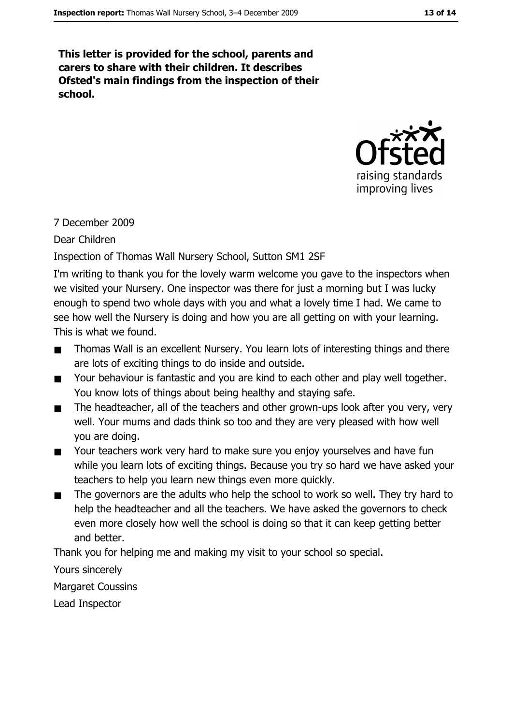This letter is provided for the school, parents and carers to share with their children. It describes Ofsted's main findings from the inspection of their school.



## 7 December 2009

Dear Children

## Inspection of Thomas Wall Nursery School, Sutton SM1 2SF

I'm writing to thank you for the lovely warm welcome you gave to the inspectors when we visited your Nursery. One inspector was there for just a morning but I was lucky enough to spend two whole days with you and what a lovely time I had. We came to see how well the Nursery is doing and how you are all getting on with your learning. This is what we found.

- Thomas Wall is an excellent Nursery. You learn lots of interesting things and there  $\blacksquare$ are lots of exciting things to do inside and outside.
- Your behaviour is fantastic and you are kind to each other and play well together.  $\blacksquare$ You know lots of things about being healthy and staying safe.
- The headteacher, all of the teachers and other grown-ups look after you very, very  $\blacksquare$ well. Your mums and dads think so too and they are very pleased with how well you are doing.
- Your teachers work very hard to make sure you enjoy yourselves and have fun  $\blacksquare$ while you learn lots of exciting things. Because you try so hard we have asked your teachers to help you learn new things even more quickly.
- The governors are the adults who help the school to work so well. They try hard to  $\blacksquare$ help the headteacher and all the teachers. We have asked the governors to check even more closely how well the school is doing so that it can keep getting better and better.

Thank you for helping me and making my visit to your school so special.

Yours sincerely

**Margaret Coussins** 

Lead Inspector